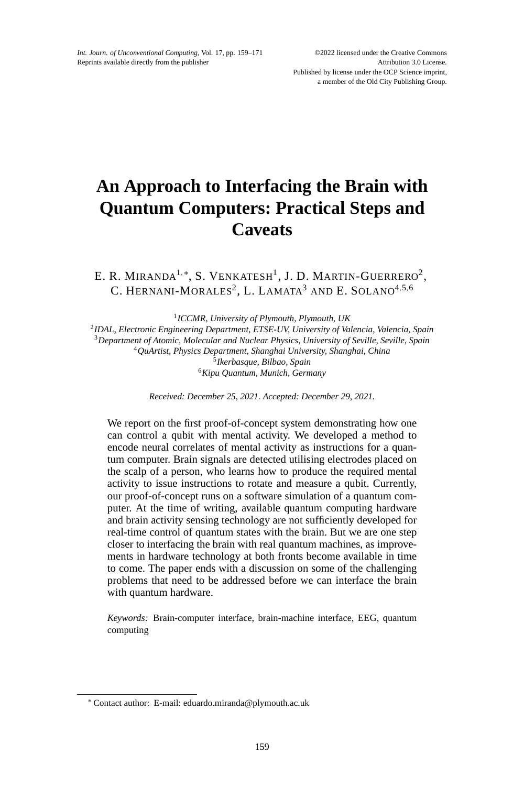# **An Approach to Interfacing the Brain with Quantum Computers: Practical Steps and Caveats**

E. R. MIRANDA<sup>1,\*</sup>, S. VENKATESH<sup>1</sup>, J. D. MARTIN-GUERRERO<sup>2</sup>, C. HERNANI-MORALES<sup>2</sup>, L. LAMATA<sup>3</sup> AND E. SOLANO<sup>4,5,6</sup>

*ICCMR, University of Plymouth, Plymouth, UK IDAL, Electronic Engineering Department, ETSE-UV, University of Valencia, Valencia, Spain Department of Atomic, Molecular and Nuclear Physics, University of Seville, Seville, Spain QuArtist, Physics Department, Shanghai University, Shanghai, China Ikerbasque, Bilbao, Spain Kipu Quantum, Munich, Germany*

*Received: December 25, 2021. Accepted: December 29, 2021.*

We report on the first proof-of-concept system demonstrating how one can control a qubit with mental activity. We developed a method to encode neural correlates of mental activity as instructions for a quantum computer. Brain signals are detected utilising electrodes placed on the scalp of a person, who learns how to produce the required mental activity to issue instructions to rotate and measure a qubit. Currently, our proof-of-concept runs on a software simulation of a quantum computer. At the time of writing, available quantum computing hardware and brain activity sensing technology are not sufficiently developed for real-time control of quantum states with the brain. But we are one step closer to interfacing the brain with real quantum machines, as improvements in hardware technology at both fronts become available in time to come. The paper ends with a discussion on some of the challenging problems that need to be addressed before we can interface the brain with quantum hardware.

*Keywords:* Brain-computer interface, brain-machine interface, EEG, quantum computing

<sup>∗</sup> Contact author: E-mail: eduardo.miranda@plymouth.ac.uk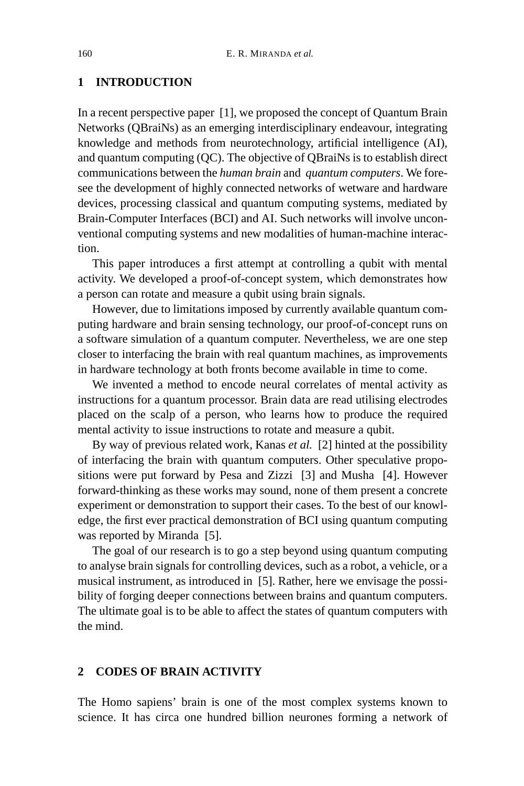# **1 INTRODUCTION**

In a recent perspective paper [1], we proposed the concept of Quantum Brain Networks (QBraiNs) as an emerging interdisciplinary endeavour, integrating knowledge and methods from neurotechnology, artificial intelligence (AI), and quantum computing (QC). The objective of QBraiNs is to establish direct communications between the *human brain* and *quantum computers*. We foresee the development of highly connected networks of wetware and hardware devices, processing classical and quantum computing systems, mediated by Brain-Computer Interfaces (BCI) and AI. Such networks will involve unconventional computing systems and new modalities of human-machine interaction.

This paper introduces a first attempt at controlling a qubit with mental activity. We developed a proof-of-concept system, which demonstrates how a person can rotate and measure a qubit using brain signals.

However, due to limitations imposed by currently available quantum computing hardware and brain sensing technology, our proof-of-concept runs on a software simulation of a quantum computer. Nevertheless, we are one step closer to interfacing the brain with real quantum machines, as improvements in hardware technology at both fronts become available in time to come.

We invented a method to encode neural correlates of mental activity as instructions for a quantum processor. Brain data are read utilising electrodes placed on the scalp of a person, who learns how to produce the required mental activity to issue instructions to rotate and measure a qubit.

By way of previous related work, Kanas *et al.* [2] hinted at the possibility of interfacing the brain with quantum computers. Other speculative propositions were put forward by Pesa and Zizzi [3] and Musha [4]. However forward-thinking as these works may sound, none of them present a concrete experiment or demonstration to support their cases. To the best of our knowledge, the first ever practical demonstration of BCI using quantum computing was reported by Miranda [5].

The goal of our research is to go a step beyond using quantum computing to analyse brain signals for controlling devices, such as a robot, a vehicle, or a musical instrument, as introduced in [5]. Rather, here we envisage the possibility of forging deeper connections between brains and quantum computers. The ultimate goal is to be able to affect the states of quantum computers with the mind.

# **2 CODES OF BRAIN ACTIVITY**

The Homo sapiens' brain is one of the most complex systems known to science. It has circa one hundred billion neurones forming a network of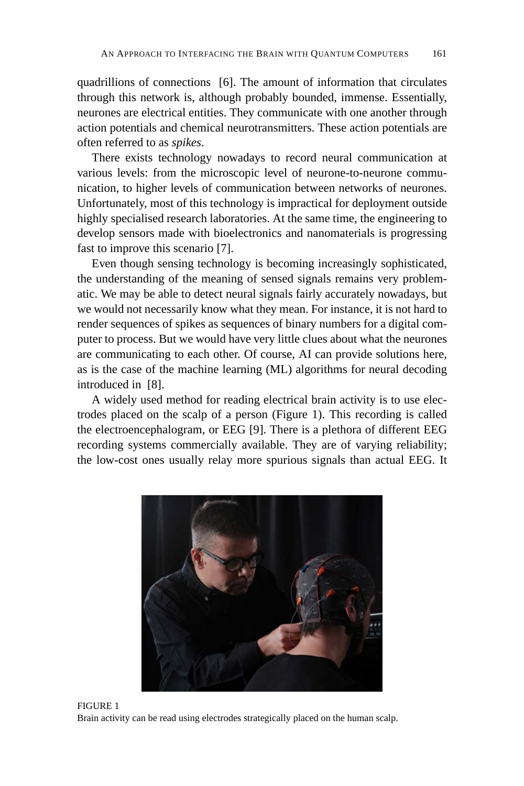quadrillions of connections [6]. The amount of information that circulates through this network is, although probably bounded, immense. Essentially, neurones are electrical entities. They communicate with one another through action potentials and chemical neurotransmitters. These action potentials are often referred to as *spikes*.

There exists technology nowadays to record neural communication at various levels: from the microscopic level of neurone-to-neurone communication, to higher levels of communication between networks of neurones. Unfortunately, most of this technology is impractical for deployment outside highly specialised research laboratories. At the same time, the engineering to develop sensors made with bioelectronics and nanomaterials is progressing fast to improve this scenario [7].

Even though sensing technology is becoming increasingly sophisticated, the understanding of the meaning of sensed signals remains very problematic. We may be able to detect neural signals fairly accurately nowadays, but we would not necessarily know what they mean. For instance, it is not hard to render sequences of spikes as sequences of binary numbers for a digital computer to process. But we would have very little clues about what the neurones are communicating to each other. Of course, AI can provide solutions here, as is the case of the machine learning (ML) algorithms for neural decoding introduced in [8].

A widely used method for reading electrical brain activity is to use electrodes placed on the scalp of a person (Figure 1). This recording is called the electroencephalogram, or EEG [9]. There is a plethora of different EEG recording systems commercially available. They are of varying reliability; the low-cost ones usually relay more spurious signals than actual EEG. It



FIGURE 1 Brain activity can be read using electrodes strategically placed on the human scalp.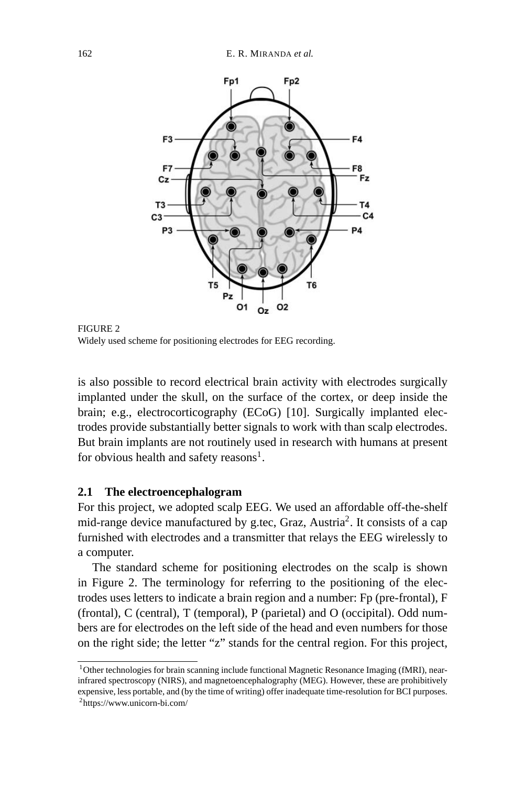

FIGURE 2 Widely used scheme for positioning electrodes for EEG recording.

is also possible to record electrical brain activity with electrodes surgically implanted under the skull, on the surface of the cortex, or deep inside the brain; e.g., electrocorticography (ECoG) [10]. Surgically implanted electrodes provide substantially better signals to work with than scalp electrodes. But brain implants are not routinely used in research with humans at present for obvious health and safety reasons<sup>1</sup>.

#### **2.1 The electroencephalogram**

For this project, we adopted scalp EEG. We used an affordable off-the-shelf mid-range device manufactured by g.tec, Graz, Austria<sup>2</sup>. It consists of a cap furnished with electrodes and a transmitter that relays the EEG wirelessly to a computer.

The standard scheme for positioning electrodes on the scalp is shown in Figure 2. The terminology for referring to the positioning of the electrodes uses letters to indicate a brain region and a number: Fp (pre-frontal), F (frontal), C (central), T (temporal), P (parietal) and O (occipital). Odd numbers are for electrodes on the left side of the head and even numbers for those on the right side; the letter "z" stands for the central region. For this project,

<sup>&</sup>lt;sup>1</sup>Other technologies for brain scanning include functional Magnetic Resonance Imaging (fMRI), nearinfrared spectroscopy (NIRS), and magnetoencephalography (MEG). However, these are prohibitively expensive, less portable, and (by the time of writing) offer inadequate time-resolution for BCI purposes. 2https://www.unicorn-bi.com/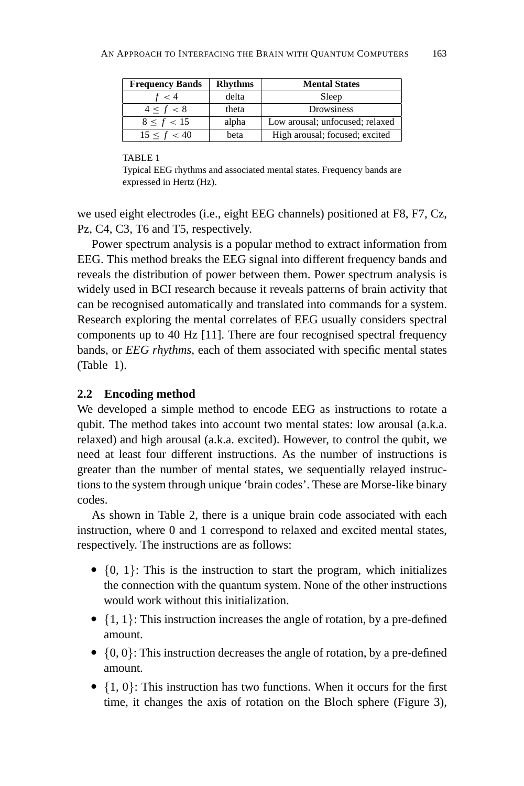| <b>Frequency Bands</b> | <b>Rhythms</b> | <b>Mental States</b>            |
|------------------------|----------------|---------------------------------|
| f < 4                  | delta          | Sleep                           |
| $4 \le f < 8$          | theta          | Drowsiness                      |
| 8 < f < 15             | alpha          | Low arousal; unfocused; relaxed |
| $15 \le f < 40$        | beta           | High arousal; focused; excited  |

#### TABLE 1

Typical EEG rhythms and associated mental states. Frequency bands are expressed in Hertz (Hz).

we used eight electrodes (i.e., eight EEG channels) positioned at F8, F7, Cz, Pz, C4, C3, T6 and T5, respectively.

Power spectrum analysis is a popular method to extract information from EEG. This method breaks the EEG signal into different frequency bands and reveals the distribution of power between them. Power spectrum analysis is widely used in BCI research because it reveals patterns of brain activity that can be recognised automatically and translated into commands for a system. Research exploring the mental correlates of EEG usually considers spectral components up to 40 Hz [11]. There are four recognised spectral frequency bands, or *EEG rhythms*, each of them associated with specific mental states (Table 1).

## **2.2 Encoding method**

We developed a simple method to encode EEG as instructions to rotate a qubit. The method takes into account two mental states: low arousal (a.k.a. relaxed) and high arousal (a.k.a. excited). However, to control the qubit, we need at least four different instructions. As the number of instructions is greater than the number of mental states, we sequentially relayed instructions to the system through unique 'brain codes'. These are Morse-like binary codes.

As shown in Table 2, there is a unique brain code associated with each instruction, where 0 and 1 correspond to relaxed and excited mental states, respectively. The instructions are as follows:

- $\{0, 1\}$ : This is the instruction to start the program, which initializes the connection with the quantum system. None of the other instructions would work without this initialization.
- $\{1, 1\}$ : This instruction increases the angle of rotation, by a pre-defined amount.
- $\{0, 0\}$ : This instruction decreases the angle of rotation, by a pre-defined amount.
- $\{1, 0\}$ : This instruction has two functions. When it occurs for the first time, it changes the axis of rotation on the Bloch sphere (Figure 3),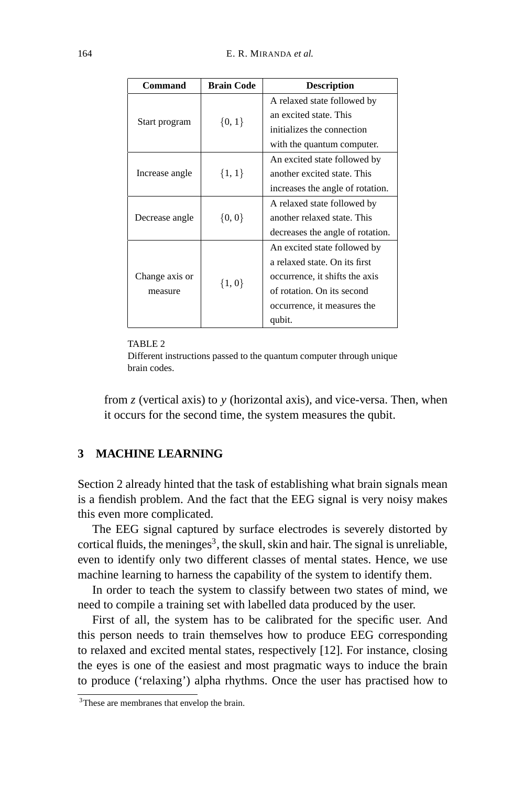| Command                   | <b>Brain Code</b> | <b>Description</b>               |
|---------------------------|-------------------|----------------------------------|
| Start program             | $\{0, 1\}$        | A relaxed state followed by      |
|                           |                   | an excited state. This           |
|                           |                   | initializes the connection       |
|                           |                   | with the quantum computer.       |
| Increase angle            | $\{1, 1\}$        | An excited state followed by     |
|                           |                   | another excited state. This      |
|                           |                   | increases the angle of rotation. |
| Decrease angle            | $\{0, 0\}$        | A relaxed state followed by      |
|                           |                   | another relaxed state. This      |
|                           |                   | decreases the angle of rotation. |
| Change axis or<br>measure | $\{1, 0\}$        | An excited state followed by     |
|                           |                   | a relaxed state. On its first    |
|                           |                   | occurrence, it shifts the axis   |
|                           |                   | of rotation. On its second       |
|                           |                   | occurrence, it measures the      |
|                           |                   | qubit.                           |

#### TABLE 2

Different instructions passed to the quantum computer through unique brain codes.

from *z* (vertical axis) to *y* (horizontal axis), and vice-versa. Then, when it occurs for the second time, the system measures the qubit.

## **3 MACHINE LEARNING**

Section 2 already hinted that the task of establishing what brain signals mean is a fiendish problem. And the fact that the EEG signal is very noisy makes this even more complicated.

The EEG signal captured by surface electrodes is severely distorted by cortical fluids, the meninges<sup>3</sup>, the skull, skin and hair. The signal is unreliable, even to identify only two different classes of mental states. Hence, we use machine learning to harness the capability of the system to identify them.

In order to teach the system to classify between two states of mind, we need to compile a training set with labelled data produced by the user.

First of all, the system has to be calibrated for the specific user. And this person needs to train themselves how to produce EEG corresponding to relaxed and excited mental states, respectively [12]. For instance, closing the eyes is one of the easiest and most pragmatic ways to induce the brain to produce ('relaxing') alpha rhythms. Once the user has practised how to

<sup>&</sup>lt;sup>3</sup>These are membranes that envelop the brain.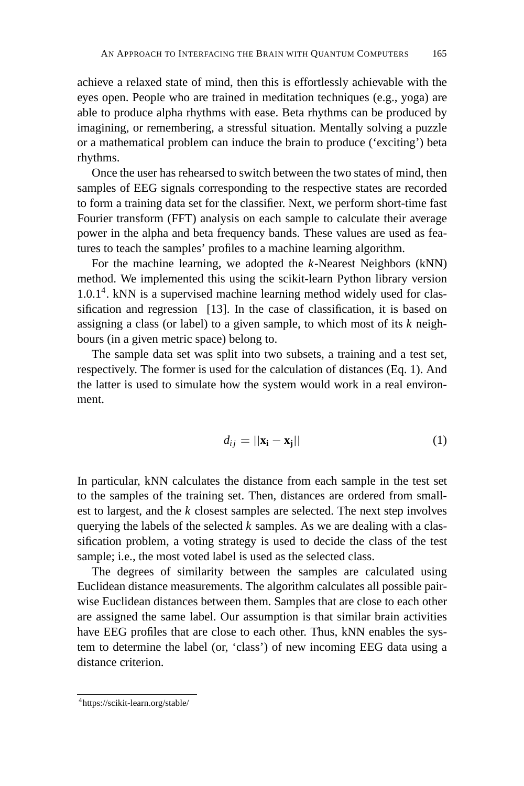achieve a relaxed state of mind, then this is effortlessly achievable with the eyes open. People who are trained in meditation techniques (e.g., yoga) are able to produce alpha rhythms with ease. Beta rhythms can be produced by imagining, or remembering, a stressful situation. Mentally solving a puzzle or a mathematical problem can induce the brain to produce ('exciting') beta rhythms.

Once the user has rehearsed to switch between the two states of mind, then samples of EEG signals corresponding to the respective states are recorded to form a training data set for the classifier. Next, we perform short-time fast Fourier transform (FFT) analysis on each sample to calculate their average power in the alpha and beta frequency bands. These values are used as features to teach the samples' profiles to a machine learning algorithm.

For the machine learning, we adopted the *k*-Nearest Neighbors (kNN) method. We implemented this using the scikit-learn Python library version  $1.0.1<sup>4</sup>$ . kNN is a supervised machine learning method widely used for classification and regression [13]. In the case of classification, it is based on assigning a class (or label) to a given sample, to which most of its *k* neighbours (in a given metric space) belong to.

The sample data set was split into two subsets, a training and a test set, respectively. The former is used for the calculation of distances (Eq. 1). And the latter is used to simulate how the system would work in a real environment.

$$
d_{ij} = ||\mathbf{x_i} - \mathbf{x_j}|| \tag{1}
$$

In particular, kNN calculates the distance from each sample in the test set to the samples of the training set. Then, distances are ordered from smallest to largest, and the *k* closest samples are selected. The next step involves querying the labels of the selected *k* samples. As we are dealing with a classification problem, a voting strategy is used to decide the class of the test sample; i.e., the most voted label is used as the selected class.

The degrees of similarity between the samples are calculated using Euclidean distance measurements. The algorithm calculates all possible pairwise Euclidean distances between them. Samples that are close to each other are assigned the same label. Our assumption is that similar brain activities have EEG profiles that are close to each other. Thus, kNN enables the system to determine the label (or, 'class') of new incoming EEG data using a distance criterion.

<sup>4</sup>https://scikit-learn.org/stable/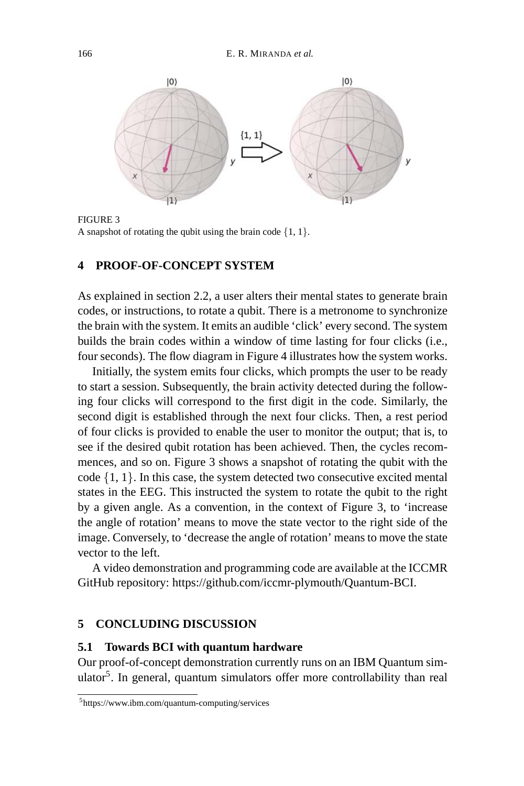

FIGURE 3

A snapshot of rotating the qubit using the brain code  $\{1, 1\}$ .

#### **4 PROOF-OF-CONCEPT SYSTEM**

As explained in section 2.2, a user alters their mental states to generate brain codes, or instructions, to rotate a qubit. There is a metronome to synchronize the brain with the system. It emits an audible 'click' every second. The system builds the brain codes within a window of time lasting for four clicks (i.e., four seconds). The flow diagram in Figure 4 illustrates how the system works.

Initially, the system emits four clicks, which prompts the user to be ready to start a session. Subsequently, the brain activity detected during the following four clicks will correspond to the first digit in the code. Similarly, the second digit is established through the next four clicks. Then, a rest period of four clicks is provided to enable the user to monitor the output; that is, to see if the desired qubit rotation has been achieved. Then, the cycles recommences, and so on. Figure 3 shows a snapshot of rotating the qubit with the code  $\{1, 1\}$ . In this case, the system detected two consecutive excited mental states in the EEG. This instructed the system to rotate the qubit to the right by a given angle. As a convention, in the context of Figure 3, to 'increase the angle of rotation' means to move the state vector to the right side of the image. Conversely, to 'decrease the angle of rotation' means to move the state vector to the left.

A video demonstration and programming code are available at the ICCMR GitHub repository: https://github.com/iccmr-plymouth/Quantum-BCI.

### **5 CONCLUDING DISCUSSION**

#### **5.1 Towards BCI with quantum hardware**

Our proof-of-concept demonstration currently runs on an IBM Quantum simulator<sup>5</sup>. In general, quantum simulators offer more controllability than real

<sup>5</sup>https://www.ibm.com/quantum-computing/services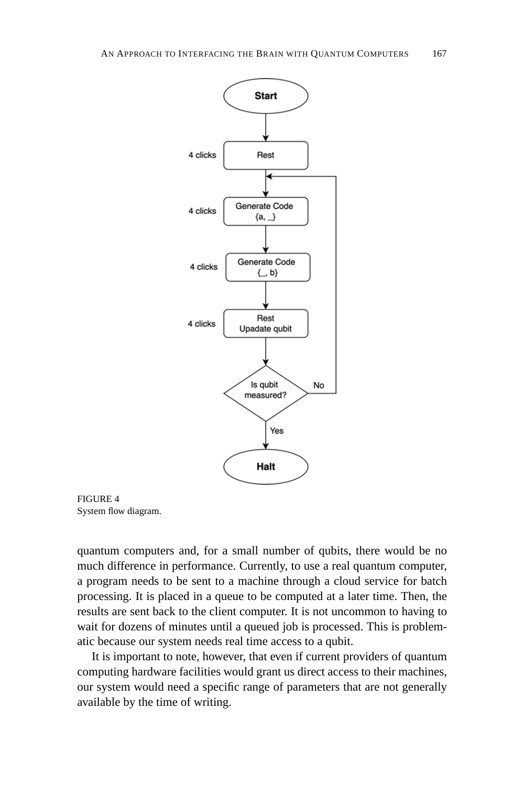



quantum computers and, for a small number of qubits, there would be no much difference in performance. Currently, to use a real quantum computer, a program needs to be sent to a machine through a cloud service for batch processing. It is placed in a queue to be computed at a later time. Then, the results are sent back to the client computer. It is not uncommon to having to wait for dozens of minutes until a queued job is processed. This is problematic because our system needs real time access to a qubit.

It is important to note, however, that even if current providers of quantum computing hardware facilities would grant us direct access to their machines, our system would need a specific range of parameters that are not generally available by the time of writing.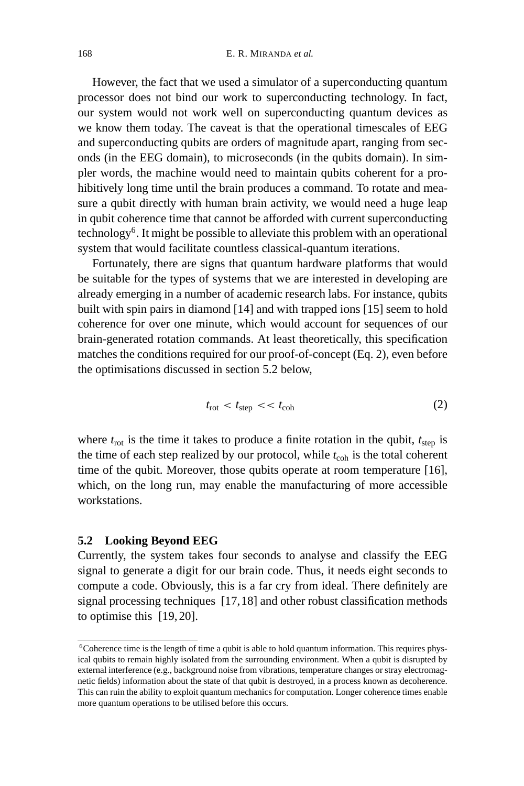However, the fact that we used a simulator of a superconducting quantum processor does not bind our work to superconducting technology. In fact, our system would not work well on superconducting quantum devices as we know them today. The caveat is that the operational timescales of EEG and superconducting qubits are orders of magnitude apart, ranging from seconds (in the EEG domain), to microseconds (in the qubits domain). In simpler words, the machine would need to maintain qubits coherent for a prohibitively long time until the brain produces a command. To rotate and measure a qubit directly with human brain activity, we would need a huge leap in qubit coherence time that cannot be afforded with current superconducting technology6. It might be possible to alleviate this problem with an operational system that would facilitate countless classical-quantum iterations.

Fortunately, there are signs that quantum hardware platforms that would be suitable for the types of systems that we are interested in developing are already emerging in a number of academic research labs. For instance, qubits built with spin pairs in diamond [14] and with trapped ions [15] seem to hold coherence for over one minute, which would account for sequences of our brain-generated rotation commands. At least theoretically, this specification matches the conditions required for our proof-of-concept (Eq. 2), even before the optimisations discussed in section 5.2 below,

$$
t_{\rm rot} < t_{\rm step} < t_{\rm coh} \tag{2}
$$

where  $t_{\text{rot}}$  is the time it takes to produce a finite rotation in the qubit,  $t_{\text{step}}$  is the time of each step realized by our protocol, while  $t_{\rm coh}$  is the total coherent time of the qubit. Moreover, those qubits operate at room temperature [16], which, on the long run, may enable the manufacturing of more accessible workstations.

## **5.2 Looking Beyond EEG**

Currently, the system takes four seconds to analyse and classify the EEG signal to generate a digit for our brain code. Thus, it needs eight seconds to compute a code. Obviously, this is a far cry from ideal. There definitely are signal processing techniques [17,18] and other robust classification methods to optimise this [19, 20].

<sup>&</sup>lt;sup>6</sup>Coherence time is the length of time a qubit is able to hold quantum information. This requires physical qubits to remain highly isolated from the surrounding environment. When a qubit is disrupted by external interference (e.g., background noise from vibrations, temperature changes or stray electromagnetic fields) information about the state of that qubit is destroyed, in a process known as decoherence. This can ruin the ability to exploit quantum mechanics for computation. Longer coherence times enable more quantum operations to be utilised before this occurs.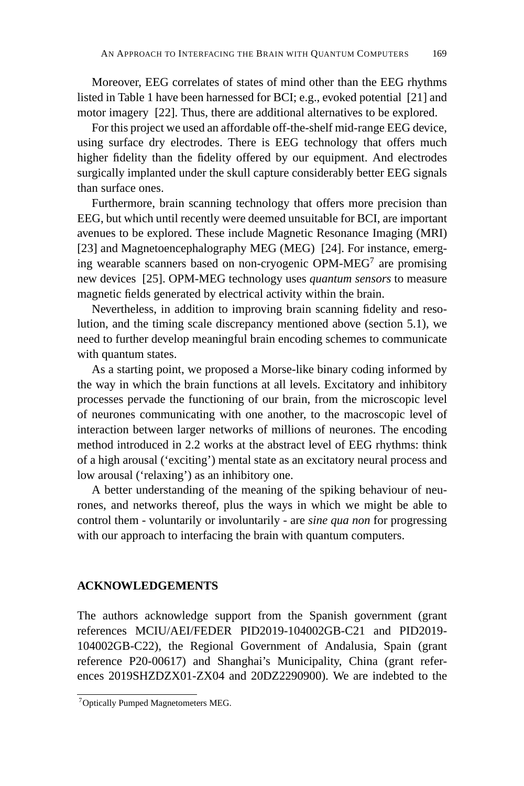Moreover, EEG correlates of states of mind other than the EEG rhythms listed in Table 1 have been harnessed for BCI; e.g., evoked potential [21] and motor imagery [22]. Thus, there are additional alternatives to be explored.

For this project we used an affordable off-the-shelf mid-range EEG device, using surface dry electrodes. There is EEG technology that offers much higher fidelity than the fidelity offered by our equipment. And electrodes surgically implanted under the skull capture considerably better EEG signals than surface ones.

Furthermore, brain scanning technology that offers more precision than EEG, but which until recently were deemed unsuitable for BCI, are important avenues to be explored. These include Magnetic Resonance Imaging (MRI) [23] and Magnetoencephalography MEG (MEG) [24]. For instance, emerging wearable scanners based on non-cryogenic OPM-MEG7 are promising new devices [25]. OPM-MEG technology uses *quantum sensors* to measure magnetic fields generated by electrical activity within the brain.

Nevertheless, in addition to improving brain scanning fidelity and resolution, and the timing scale discrepancy mentioned above (section 5.1), we need to further develop meaningful brain encoding schemes to communicate with quantum states.

As a starting point, we proposed a Morse-like binary coding informed by the way in which the brain functions at all levels. Excitatory and inhibitory processes pervade the functioning of our brain, from the microscopic level of neurones communicating with one another, to the macroscopic level of interaction between larger networks of millions of neurones. The encoding method introduced in 2.2 works at the abstract level of EEG rhythms: think of a high arousal ('exciting') mental state as an excitatory neural process and low arousal ('relaxing') as an inhibitory one.

A better understanding of the meaning of the spiking behaviour of neurones, and networks thereof, plus the ways in which we might be able to control them - voluntarily or involuntarily - are *sine qua non* for progressing with our approach to interfacing the brain with quantum computers.

# **ACKNOWLEDGEMENTS**

The authors acknowledge support from the Spanish government (grant references MCIU/AEI/FEDER PID2019-104002GB-C21 and PID2019- 104002GB-C22), the Regional Government of Andalusia, Spain (grant reference P20-00617) and Shanghai's Municipality, China (grant references 2019SHZDZX01-ZX04 and 20DZ2290900). We are indebted to the

<sup>7</sup>Optically Pumped Magnetometers MEG.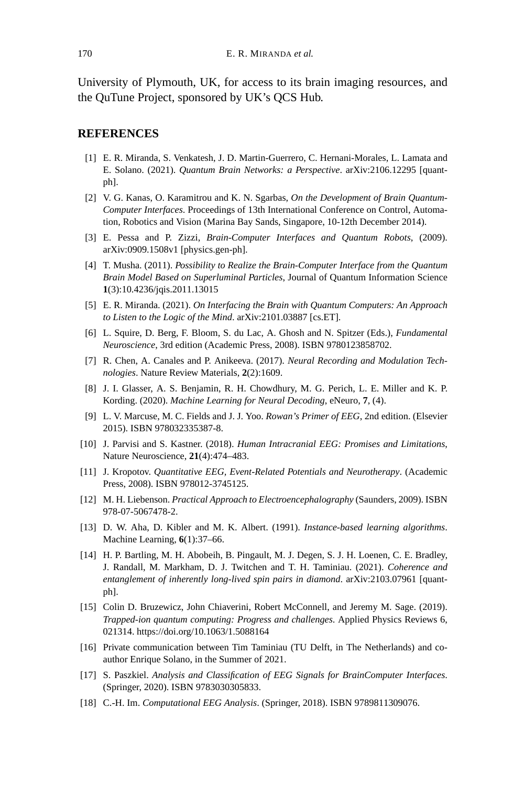University of Plymouth, UK, for access to its brain imaging resources, and the QuTune Project, sponsored by UK's QCS Hub.

#### **REFERENCES**

- [1] E. R. Miranda, S. Venkatesh, J. D. Martin-Guerrero, C. Hernani-Morales, L. Lamata and E. Solano. (2021). *Quantum Brain Networks: a Perspective*. arXiv:2106.12295 [quantph].
- [2] V. G. Kanas, O. Karamitrou and K. N. Sgarbas, *On the Development of Brain Quantum-Computer Interfaces*. Proceedings of 13th International Conference on Control, Automation, Robotics and Vision (Marina Bay Sands, Singapore, 10-12th December 2014).
- [3] E. Pessa and P. Zizzi, *Brain-Computer Interfaces and Quantum Robots*, (2009). arXiv:0909.1508v1 [physics.gen-ph].
- [4] T. Musha. (2011). *Possibility to Realize the Brain-Computer Interface from the Quantum Brain Model Based on Superluminal Particles*, Journal of Quantum Information Science **1**(3):10.4236/jqis.2011.13015
- [5] E. R. Miranda. (2021). *On Interfacing the Brain with Quantum Computers: An Approach to Listen to the Logic of the Mind*. arXiv:2101.03887 [cs.ET].
- [6] L. Squire, D. Berg, F. Bloom, S. du Lac, A. Ghosh and N. Spitzer (Eds.), *Fundamental Neuroscience*, 3rd edition (Academic Press, 2008). ISBN 9780123858702.
- [7] R. Chen, A. Canales and P. Anikeeva. (2017). *Neural Recording and Modulation Technologies*. Nature Review Materials, **2**(2):1609.
- [8] J. I. Glasser, A. S. Benjamin, R. H. Chowdhury, M. G. Perich, L. E. Miller and K. P. Kording. (2020). *Machine Learning for Neural Decoding*, eNeuro, **7**, (4).
- [9] L. V. Marcuse, M. C. Fields and J. J. Yoo. *Rowan's Primer of EEG*, 2nd edition. (Elsevier 2015). ISBN 978032335387-8.
- [10] J. Parvisi and S. Kastner. (2018). *Human Intracranial EEG: Promises and Limitations*, Nature Neuroscience, **21**(4):474–483.
- [11] J. Kropotov. *Quantitative EEG, Event-Related Potentials and Neurotherapy*. (Academic Press, 2008). ISBN 978012-3745125.
- [12] M. H. Liebenson. *Practical Approach to Electroencephalography* (Saunders, 2009). ISBN 978-07-5067478-2.
- [13] D. W. Aha, D. Kibler and M. K. Albert. (1991). *Instance-based learning algorithms*. Machine Learning, **6**(1):37–66.
- [14] H. P. Bartling, M. H. Abobeih, B. Pingault, M. J. Degen, S. J. H. Loenen, C. E. Bradley, J. Randall, M. Markham, D. J. Twitchen and T. H. Taminiau. (2021). *Coherence and entanglement of inherently long-lived spin pairs in diamond*. arXiv:2103.07961 [quantph].
- [15] Colin D. Bruzewicz, John Chiaverini, Robert McConnell, and Jeremy M. Sage. (2019). *Trapped-ion quantum computing: Progress and challenges*. Applied Physics Reviews 6, 021314. https://doi.org/10.1063/1.5088164
- [16] Private communication between Tim Taminiau (TU Delft, in The Netherlands) and coauthor Enrique Solano, in the Summer of 2021.
- [17] S. Paszkiel. *Analysis and Classification of EEG Signals for BrainComputer Interfaces*. (Springer, 2020). ISBN 9783030305833.
- [18] C.-H. Im. *Computational EEG Analysis*. (Springer, 2018). ISBN 9789811309076.